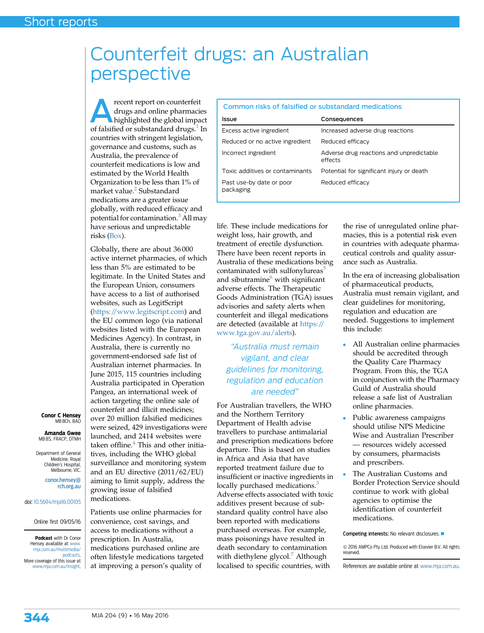## Counterfeit drugs: an Australian perspective

recent report on counterfeit drugs and online pharmacies highlighted the global impact of falsified or substandard drugs.<sup>[1](#page-1-0)</sup> In countries with stringent legislation, governance and customs, such as Australia, the prevalence of counterfeit medications is low and estimated by the World Health Organization to be less than 1% of market value.<sup>[2](#page-1-0)</sup> Substandard medications are a greater issue globally, with reduced efficacy and potential for contamination.<sup>[3](#page-1-0)</sup> All may have serious and unpredictable risks (Box).

Globally, there are about 36 000 active internet pharmacies, of which less than 5% are estimated to be legitimate. In the United States and the European Union, consumers have access to a list of authorised websites, such as LegitScript [\(https://www.legitscript.com\)](https://www.legitscript.com) and the EU common logo (via national websites listed with the European Medicines Agency). In contrast, in Australia, there is currently no government-endorsed safe list of Australian internet pharmacies. In June 2015, 115 countries including Australia participated in Operation Pangea, an international week of action targeting the online sale of counterfeit and illicit medicines; over 20 million falsified medicines were seized, 429 investigations were launched, and 2414 websites were taken offline. $4$  This and other initiasurveillance and monitoring system and an EU directive (2011/62/EU)

tives, including the WHO global aiming to limit supply, address the growing issue of falsified medications. Patients use online pharmacies for convenience, cost savings, and

access to medications without a prescription. In Australia, medications purchased online are often lifestyle medications targeted at improving a person's quality of Online first 09/05/16 Podcast with Dr Conor Hensey available at [www.](http://www.mja.com.au/multimedia/podcasts) [mja.com.au/multimedia/](http://www.mja.com.au/multimedia/podcasts) [podcasts](http://www.mja.com.au/multimedia/podcasts). More coverage of this issue at [www.mja.com.au/insight](http://www.mja.com.au/insight).

## Common risks of falsified or substandard medications

| <b>Issue</b>                          | Consequences                                        |
|---------------------------------------|-----------------------------------------------------|
| Excess active ingredient              | Increased adverse drug reactions                    |
| Reduced or no active ingredient       | Reduced efficacy                                    |
| Incorrect ingredient                  | Adverse drug reactions and unpredictable<br>effects |
| Toxic additives or contaminants       | Potential for significant injury or death           |
| Past use-by date or poor<br>packaging | Reduced efficacy                                    |

life. These include medications for weight loss, hair growth, and treatment of erectile dysfunction. There have been recent reports in Australia of these medications being contaminated with sulfonylureas<sup>[5](#page-1-0)</sup> and sibutramine $<sup>6</sup>$  $<sup>6</sup>$  $<sup>6</sup>$  with significant</sup> adverse effects. The Therapeutic Goods Administration (TGA) issues advisories and safety alerts when counterfeit and illegal medications are detected (available at [https://](https://www.tga.gov.au/alerts) [www.tga.gov.au/alerts\)](https://www.tga.gov.au/alerts).

"Australia must remain vigilant, and clear guidelines for monitoring, regulation and education are needed"

For Australian travellers, the WHO and the Northern Territory Department of Health advise travellers to purchase antimalarial and prescription medications before departure. This is based on studies in Africa and Asia that have reported treatment failure due to insufficient or inactive ingredients in locally purchased medications.<sup>[3](#page-1-0)</sup> Adverse effects associated with toxic additives present because of substandard quality control have also been reported with medications purchased overseas. For example, mass poisonings have resulted in death secondary to contamination with diethylene glycol.<sup>[7](#page-1-0)</sup> Although localised to specific countries, with

the rise of unregulated online pharmacies, this is a potential risk even in countries with adequate pharmaceutical controls and quality assurance such as Australia.

In the era of increasing globalisation of pharmaceutical products, Australia must remain vigilant, and clear guidelines for monitoring, regulation and education are needed. Suggestions to implement this include:

- All Australian online pharmacies should be accredited through the Quality Care Pharmacy Program. From this, the TGA in conjunction with the Pharmacy Guild of Australia should release a safe list of Australian online pharmacies.
- Public awareness campaigns should utilise NPS Medicine Wise and Australian Prescriber — resources widely accessed by consumers, pharmacists and prescribers.
- The Australian Customs and Border Protection Service should continue to work with global agencies to optimise the identification of counterfeit medications.

Competing interests: No relevant disclosures.

 $\odot$  2016 AMPCo Pty Ltd. Produced with Elsevier B.V. All rights reserved.

References are available online at [www.mja.com.au](http://www.mja.com.au).



Conor C Hensey MB BCh, BAC Amanda Gwee MB BS, FRACP, DTMH Department of General Medicine, Royal Children's Hospital, Melbourne, VIC.

rch.org.au

doi: [10.5694/mja16.00105](http://dx.doi.org/10.5694/mja16.00105)